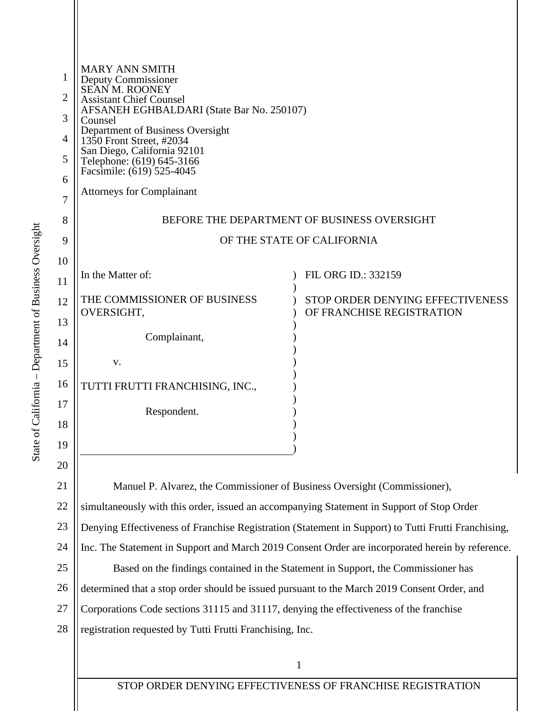| 1              | <b>MARY ANN SMITH</b><br>Deputy Commissioner<br>SEAN M. ROONEY                                      |                                  |  |
|----------------|-----------------------------------------------------------------------------------------------------|----------------------------------|--|
| 2              | <b>Assistant Chief Counsel</b>                                                                      |                                  |  |
| 3              | AFSANEH EGHBALDARI (State Bar No. 250107)<br>Counsel                                                |                                  |  |
| $\overline{4}$ | Department of Business Oversight<br>1350 Front Street, #2034                                        |                                  |  |
| 5              | San Diego, California 92101<br>Telephone: (619) 645-3166<br>Facsimile: (619) 525-4045               |                                  |  |
| 6              |                                                                                                     |                                  |  |
| 7              | <b>Attorneys for Complainant</b>                                                                    |                                  |  |
| 8              | BEFORE THE DEPARTMENT OF BUSINESS OVERSIGHT                                                         |                                  |  |
| 9              | OF THE STATE OF CALIFORNIA                                                                          |                                  |  |
| 10             |                                                                                                     |                                  |  |
| 11             | In the Matter of:                                                                                   | FIL ORG ID.: 332159              |  |
| 12             | THE COMMISSIONER OF BUSINESS                                                                        | STOP ORDER DENYING EFFECTIVENESS |  |
| 13             | OVERSIGHT,                                                                                          | OF FRANCHISE REGISTRATION        |  |
| 14             | Complainant,                                                                                        |                                  |  |
| 15             | V.                                                                                                  |                                  |  |
| 16             | TUTTI FRUTTI FRANCHISING, INC.,                                                                     |                                  |  |
| 17             | Respondent.                                                                                         |                                  |  |
| 18             |                                                                                                     |                                  |  |
| 19             |                                                                                                     |                                  |  |
| 20             |                                                                                                     |                                  |  |
| 21             | Manuel P. Alvarez, the Commissioner of Business Oversight (Commissioner),                           |                                  |  |
| 22             | simultaneously with this order, issued an accompanying Statement in Support of Stop Order           |                                  |  |
| 23             | Denying Effectiveness of Franchise Registration (Statement in Support) to Tutti Frutti Franchising, |                                  |  |
| 24             | Inc. The Statement in Support and March 2019 Consent Order are incorporated herein by reference.    |                                  |  |
| 25             | Based on the findings contained in the Statement in Support, the Commissioner has                   |                                  |  |
| 26             | determined that a stop order should be issued pursuant to the March 2019 Consent Order, and         |                                  |  |
|                |                                                                                                     |                                  |  |

27 Corporations Code sections 31115 and 31117, denying the effectiveness of the franchise

28 registration requested by Tutti Frutti Franchising, Inc.

1

STOP ORDER DENYING EFFECTIVENESS OF FRANCHISE REGISTRATION